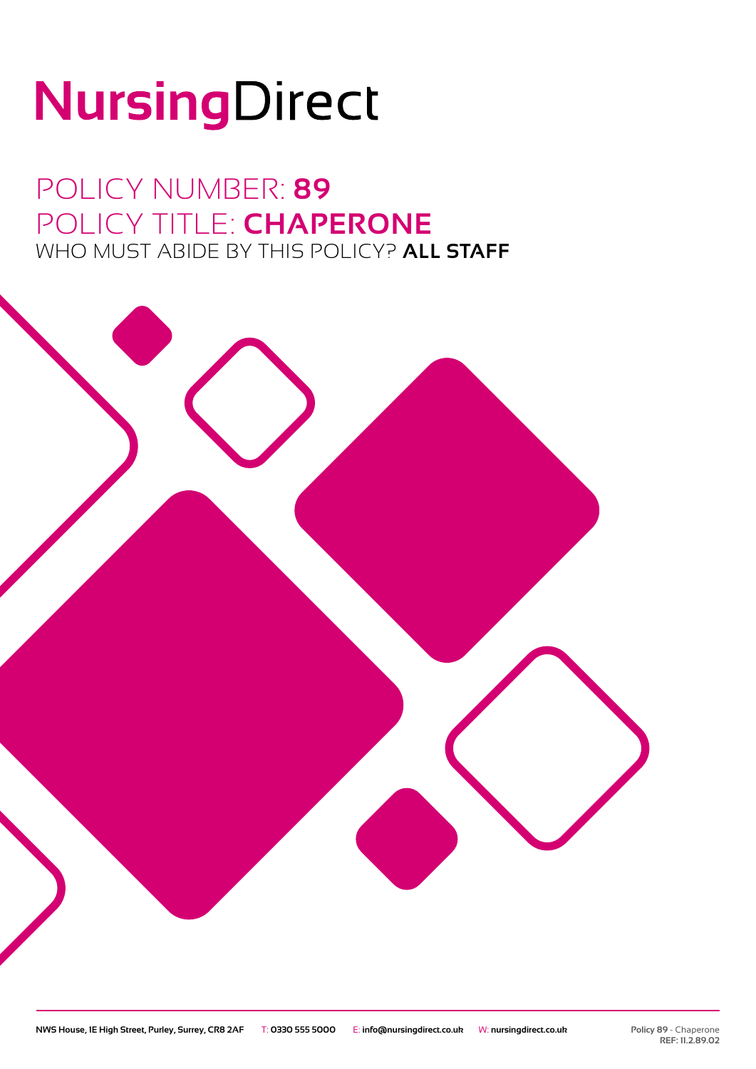# NursingDirect

# POLICY NUMBER: **89** POLICY TITLE: **CHAPERONE** WHO MUST ABIDE BY THIS POLICY? **ALL STAFF**

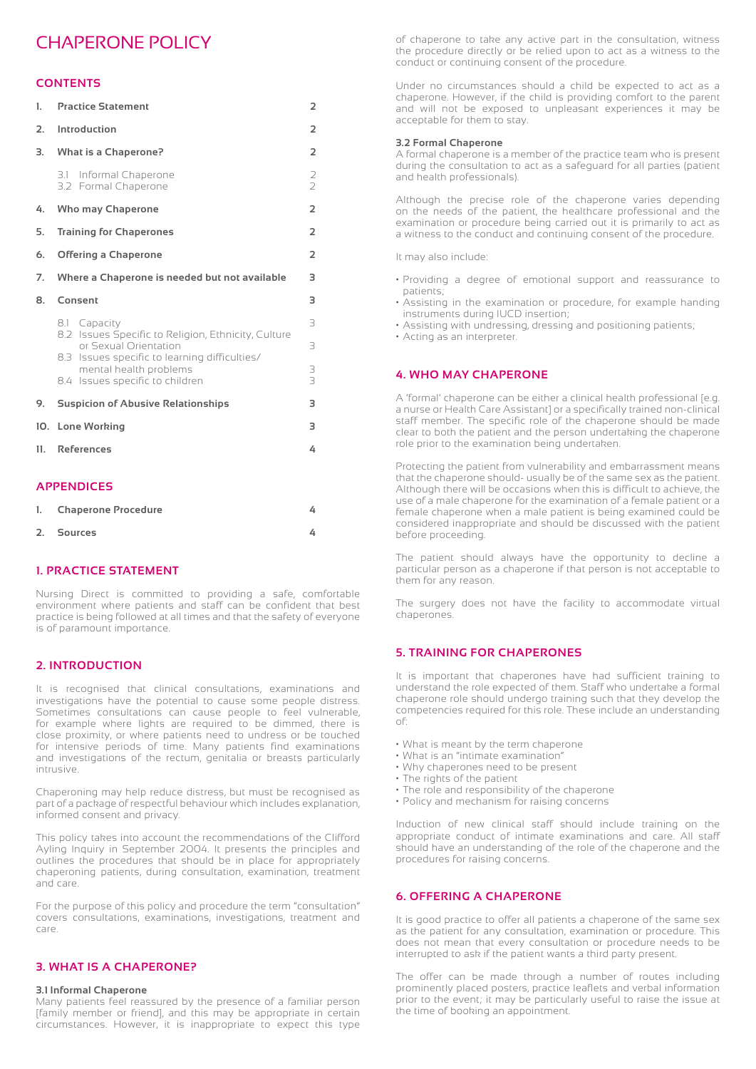### CHAPERONE POLICY

#### **CONTENTS**

| 1.  | <b>Practice Statement</b>                                                                                                                     | $\overline{2}$ |
|-----|-----------------------------------------------------------------------------------------------------------------------------------------------|----------------|
| 2.  | Introduction                                                                                                                                  | $\overline{2}$ |
| 3.  | <b>What is a Chaperone?</b>                                                                                                                   | 2              |
|     | 3.1 Informal Chaperone<br>3.2 Formal Chaperone                                                                                                | $\frac{2}{2}$  |
| 4.  | <b>Who may Chaperone</b>                                                                                                                      | $\overline{2}$ |
| 5.  | <b>Training for Chaperones</b>                                                                                                                | $\overline{2}$ |
| 6.  | <b>Offering a Chaperone</b>                                                                                                                   | $\overline{2}$ |
| 7.  | Where a Chaperone is needed but not available                                                                                                 | 3              |
| 8.  | Consent                                                                                                                                       | 3              |
|     | 8.1 Capacity<br>8.2 Issues Specific to Religion, Ethnicity, Culture<br>or Sexual Orientation<br>8.3 Issues specific to learning difficulties/ | 3<br>3         |
|     | mental health problems<br>8.4 Issues specific to children                                                                                     | 3<br>3         |
| 9.  | <b>Suspicion of Abusive Relationships</b>                                                                                                     | 3              |
| 10. | <b>Lone Working</b>                                                                                                                           | 3              |
| 11. | <b>References</b>                                                                                                                             | 4              |
|     | <b>APPENDICES</b>                                                                                                                             |                |
| 1.  | <b>Chaperone Procedure</b>                                                                                                                    | 4              |

| 2. Sources |  |
|------------|--|
|------------|--|

#### **1. PRACTICE STATEMENT**

Nursing Direct is committed to providing a safe, comfortable environment where patients and staff can be confident that best practice is being followed at all times and that the safety of everyone is of paramount importance.

#### **2. INTRODUCTION**

It is recognised that clinical consultations, examinations and investigations have the potential to cause some people distress. Sometimes consultations can cause people to feel vulnerable, for example where lights are required to be dimmed, there is close proximity, or where patients need to undress or be touched for intensive periods of time. Many patients find examinations and investigations of the rectum, genitalia or breasts particularly intrusive.

Chaperoning may help reduce distress, but must be recognised as part of a package of respectful behaviour which includes explanation, informed consent and privacy.

This policy takes into account the recommendations of the Clifford Ayling Inquiry in September 2004. It presents the principles and outlines the procedures that should be in place for appropriately chaperoning patients, during consultation, examination, treatment and care.

For the purpose of this policy and procedure the term "consultation" covers consultations, examinations, investigations, treatment and care.

#### **3. WHAT IS A CHAPERONE?**

#### **3.1 Informal Chaperone**

Many patients feel reassured by the presence of a familiar person [family member or friend], and this may be appropriate in certain circumstances. However, it is inappropriate to expect this type of chaperone to take any active part in the consultation, witness the procedure directly or be relied upon to act as a witness to the conduct or continuing consent of the procedure.

Under no circumstances should a child be expected to act as a chaperone. However, if the child is providing comfort to the parent and will not be exposed to unpleasant experiences it may be acceptable for them to stay.

#### **3.2 Formal Chaperone**

A formal chaperone is a member of the practice team who is present during the consultation to act as a safeguard for all parties (patient and health professionals).

Although the precise role of the chaperone varies depending on the needs of the patient, the healthcare professional and the examination or procedure being carried out it is primarily to act as a witness to the conduct and continuing consent of the procedure.

It may also include:

- Providing a degree of emotional support and reassurance to patients;
- Assisting in the examination or procedure, for example handing instruments during IUCD insertion;
- Assisting with undressing, dressing and positioning patients;
- Acting as an interpreter.

#### **4. WHO MAY CHAPERONE**

A 'formal' chaperone can be either a clinical health professional [e.g. a nurse or Health Care Assistant] or a specifically trained non-clinical staff member. The specific role of the chaperone should be made clear to both the patient and the person undertaking the chaperone role prior to the examination being undertaken.

Protecting the patient from vulnerability and embarrassment means that the chaperone should- usually be of the same sex as the patient. Although there will be occasions when this is difficult to achieve, the use of a male chaperone for the examination of a female patient or a female chaperone when a male patient is being examined could be considered inappropriate and should be discussed with the patient before proceeding.

The patient should always have the opportunity to decline a particular person as a chaperone if that person is not acceptable to them for any reason.

The surgery does not have the facility to accommodate virtual chaperones.

#### **5. TRAINING FOR CHAPERONES**

It is important that chaperones have had sufficient training to understand the role expected of them. Staff who undertake a formal chaperone role should undergo training such that they develop the competencies required for this role. These include an understanding of:

- What is meant by the term chaperone
- What is an "intimate examination"
- Why chaperones need to be present
- The rights of the patient
- The role and responsibility of the chaperone
- Policy and mechanism for raising concerns

Induction of new clinical staff should include training on the appropriate conduct of intimate examinations and care. All staff should have an understanding of the role of the chaperone and the procedures for raising concerns.

#### **6. OFFERING A CHAPERONE**

It is good practice to offer all patients a chaperone of the same sex as the patient for any consultation, examination or procedure. This does not mean that every consultation or procedure needs to be interrupted to ask if the patient wants a third party present.

The offer can be made through a number of routes including prominently placed posters, practice leaflets and verbal information prior to the event; it may be particularly useful to raise the issue at the time of booking an appointment.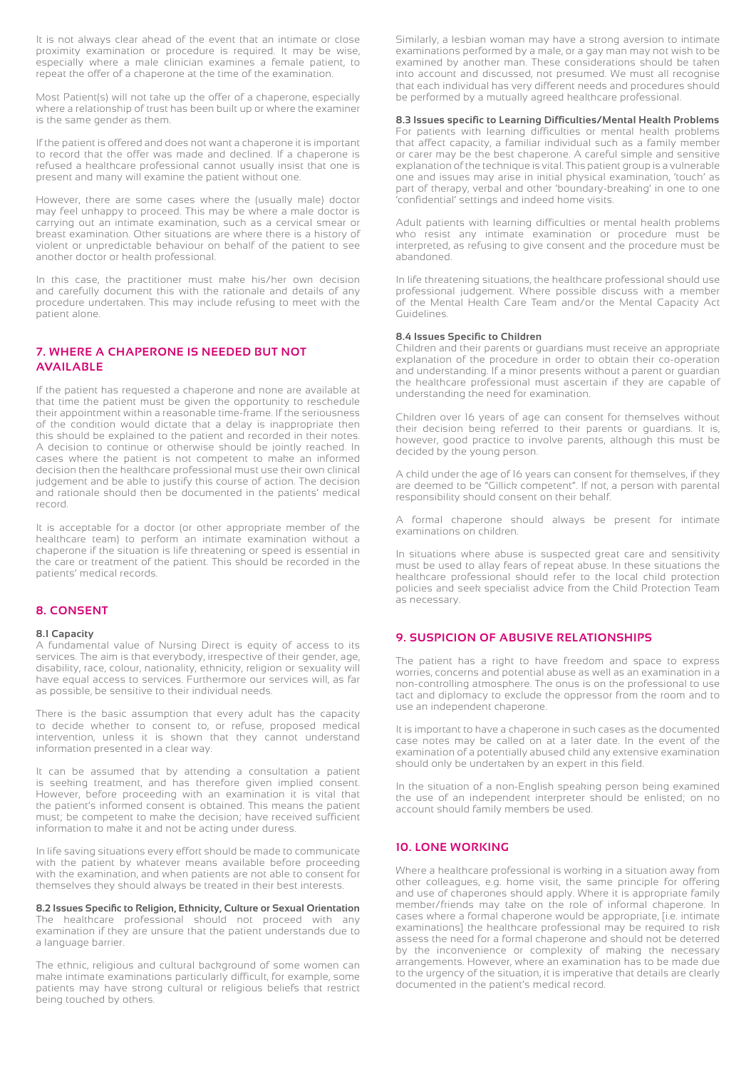It is not always clear ahead of the event that an intimate or close proximity examination or procedure is required. It may be wise, especially where a male clinician examines a female patient, to repeat the offer of a chaperone at the time of the examination.

Most Patient(s) will not take up the offer of a chaperone, especially where a relationship of trust has been built up or where the examiner is the same gender as them.

If the patient is offered and does not want a chaperone it is important to record that the offer was made and declined. If a chaperone is refused a healthcare professional cannot usually insist that one is present and many will examine the patient without one.

However, there are some cases where the (usually male) doctor may feel unhappy to proceed. This may be where a male doctor is carrying out an intimate examination, such as a cervical smear or breast examination. Other situations are where there is a history of violent or unpredictable behaviour on behalf of the patient to see another doctor or health professional.

In this case, the practitioner must make his/her own decision and carefully document this with the rationale and details of any procedure undertaken. This may include refusing to meet with the patient alone.

#### **7. WHERE A CHAPERONE IS NEEDED BUT NOT AVAILABLE**

If the patient has requested a chaperone and none are available at that time the patient must be given the opportunity to reschedule their appointment within a reasonable time-frame. If the seriousness of the condition would dictate that a delay is inappropriate then this should be explained to the patient and recorded in their notes. A decision to continue or otherwise should be jointly reached. In cases where the patient is not competent to make an informed decision then the healthcare professional must use their own clinical judgement and be able to justify this course of action. The decision and rationale should then be documented in the patients' medical record.

It is acceptable for a doctor (or other appropriate member of the healthcare team) to perform an intimate examination without a chaperone if the situation is life threatening or speed is essential in the care or treatment of the patient. This should be recorded in the patients' medical records.

#### **8. CONSENT**

#### **8.1 Capacity**

A fundamental value of Nursing Direct is equity of access to its services. The aim is that everybody, irrespective of their gender, age, disability, race, colour, nationality, ethnicity, religion or sexuality will have equal access to services. Furthermore our services will, as far as possible, be sensitive to their individual needs.

There is the basic assumption that every adult has the capacity to decide whether to consent to, or refuse, proposed medical intervention, unless it is shown that they cannot understand information presented in a clear way.

It can be assumed that by attending a consultation a patient is seeking treatment, and has therefore given implied consent. However, before proceeding with an examination it is vital that the patient's informed consent is obtained. This means the patient must; be competent to make the decision; have received sufficient information to make it and not be acting under duress.

In life saving situations every effort should be made to communicate with the patient by whatever means available before proceeding with the examination, and when patients are not able to consent for themselves they should always be treated in their best interests.

**8.2 Issues Specific to Religion, Ethnicity, Culture or Sexual Orientation** The healthcare professional should not proceed with any examination if they are unsure that the patient understands due to a language barrier.

The ethnic, religious and cultural background of some women can make intimate examinations particularly difficult, for example, some patients may have strong cultural or religious beliefs that restrict being touched by others.

Similarly, a lesbian woman may have a strong aversion to intimate examinations performed by a male, or a gay man may not wish to be examined by another man. These considerations should be taken into account and discussed, not presumed. We must all recognise that each individual has very different needs and procedures should be performed by a mutually agreed healthcare professional.

#### **8.3 Issues specific to Learning Difficulties/Mental Health Problems**

For patients with learning difficulties or mental health problems that affect capacity, a familiar individual such as a family member or carer may be the best chaperone. A careful simple and sensitive explanation of the technique is vital. This patient group is a vulnerable one and issues may arise in initial physical examination, 'touch' as part of therapy, verbal and other 'boundary-breaking' in one to one 'confidential' settings and indeed home visits.

Adult patients with learning difficulties or mental health problems who resist any intimate examination or procedure must be interpreted, as refusing to give consent and the procedure must be abandoned.

In life threatening situations, the healthcare professional should use professional judgement. Where possible discuss with a member of the Mental Health Care Team and/or the Mental Capacity Act Guidelines.

#### **8.4 Issues Specific to Children**

Children and their parents or guardians must receive an appropriate explanation of the procedure in order to obtain their co-operation and understanding. If a minor presents without a parent or guardian the healthcare professional must ascertain if they are capable of understanding the need for examination.

Children over 16 years of age can consent for themselves without their decision being referred to their parents or guardians. It is, however, good practice to involve parents, although this must be decided by the young person.

A child under the age of 16 years can consent for themselves, if they are deemed to be "Gillick competent". If not, a person with parental responsibility should consent on their behalf.

A formal chaperone should always be present for intimate examinations on children.

In situations where abuse is suspected great care and sensitivity must be used to allay fears of repeat abuse. In these situations the healthcare professional should refer to the local child protection policies and seek specialist advice from the Child Protection Team as necessary.

#### **9. SUSPICION OF ABUSIVE RELATIONSHIPS**

The patient has a right to have freedom and space to express worries, concerns and potential abuse as well as an examination in a non-controlling atmosphere. The onus is on the professional to use tact and diplomacy to exclude the oppressor from the room and to use an independent chaperone.

It is important to have a chaperone in such cases as the documented case notes may be called on at a later date. In the event of the examination of a potentially abused child any extensive examination should only be undertaken by an expert in this field.

In the situation of a non-English speaking person being examined the use of an independent interpreter should be enlisted; on no account should family members be used.

#### **10. LONE WORKING**

Where a healthcare professional is working in a situation away from other colleagues, e.g. home visit, the same principle for offering and use of chaperones should apply. Where it is appropriate family member/friends may take on the role of informal chaperone. In cases where a formal chaperone would be appropriate, [i.e. intimate examinations] the healthcare professional may be required to risk assess the need for a formal chaperone and should not be deterred by the inconvenience or complexity of making the necessary arrangements. However, where an examination has to be made due to the urgency of the situation, it is imperative that details are clearly documented in the patient's medical record.